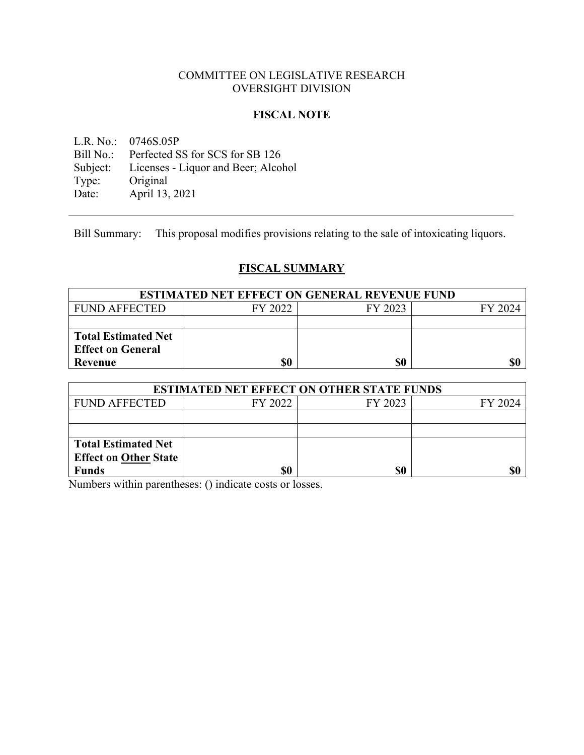# COMMITTEE ON LEGISLATIVE RESEARCH OVERSIGHT DIVISION

## **FISCAL NOTE**

L.R. No.: 0746S.05P Bill No.: Perfected SS for SCS for SB 126 Subject: Licenses - Liquor and Beer; Alcohol<br>Type: Original Type: Original<br>Date: April 13, April 13, 2021

Bill Summary: This proposal modifies provisions relating to the sale of intoxicating liquors.

# **FISCAL SUMMARY**

| <b>ESTIMATED NET EFFECT ON GENERAL REVENUE FUND</b> |         |         |         |
|-----------------------------------------------------|---------|---------|---------|
| <b>FUND AFFECTED</b>                                | FY 2022 | FY 2023 | FY 2024 |
|                                                     |         |         |         |
| <b>Total Estimated Net</b>                          |         |         |         |
| <b>Effect on General</b>                            |         |         |         |
| Revenue                                             | \$0     | \$0     | \$0     |

| <b>ESTIMATED NET EFFECT ON OTHER STATE FUNDS</b> |         |         |         |  |
|--------------------------------------------------|---------|---------|---------|--|
| <b>FUND AFFECTED</b>                             | FY 2022 | FY 2023 | FY 2024 |  |
|                                                  |         |         |         |  |
|                                                  |         |         |         |  |
| <b>Total Estimated Net</b>                       |         |         |         |  |
| <b>Effect on Other State</b>                     |         |         |         |  |
| <b>Funds</b>                                     | \$0     | \$0     |         |  |

Numbers within parentheses: () indicate costs or losses.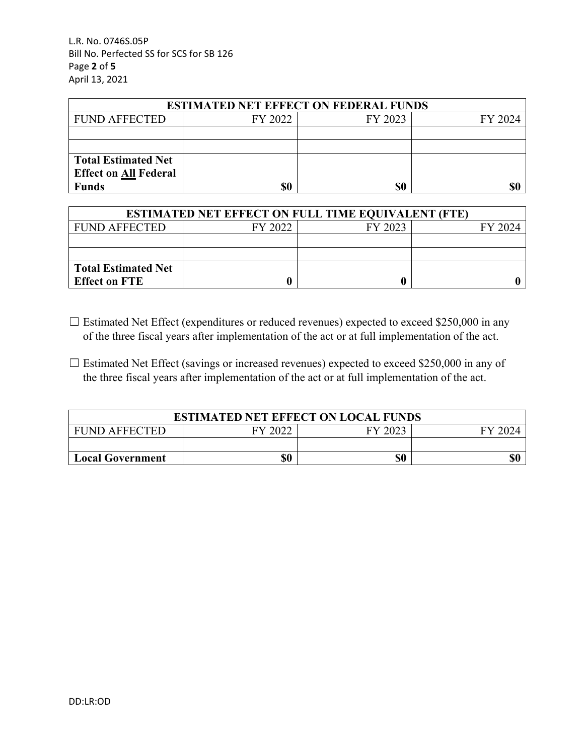L.R. No. 0746S.05P Bill No. Perfected SS for SCS for SB 126 Page **2** of **5** April 13, 2021

| <b>ESTIMATED NET EFFECT ON FEDERAL FUNDS</b> |         |         |         |  |
|----------------------------------------------|---------|---------|---------|--|
| <b>FUND AFFECTED</b>                         | FY 2022 | FY 2023 | FY 2024 |  |
|                                              |         |         |         |  |
|                                              |         |         |         |  |
| <b>Total Estimated Net</b>                   |         |         |         |  |
| <b>Effect on All Federal</b>                 |         |         |         |  |
| <b>Funds</b>                                 | \$0     | \$0     |         |  |

| <b>ESTIMATED NET EFFECT ON FULL TIME EQUIVALENT (FTE)</b> |         |         |         |  |
|-----------------------------------------------------------|---------|---------|---------|--|
| <b>FUND AFFECTED</b>                                      | FY 2022 | FY 2023 | FY 2024 |  |
|                                                           |         |         |         |  |
|                                                           |         |         |         |  |
| <b>Total Estimated Net</b>                                |         |         |         |  |
| <b>Effect on FTE</b>                                      |         |         |         |  |

- ☐ Estimated Net Effect (expenditures or reduced revenues) expected to exceed \$250,000 in any of the three fiscal years after implementation of the act or at full implementation of the act.
- $\Box$  Estimated Net Effect (savings or increased revenues) expected to exceed \$250,000 in any of the three fiscal years after implementation of the act or at full implementation of the act.

| <b>ESTIMATED NET EFFECT ON LOCAL FUNDS</b> |         |         |  |  |
|--------------------------------------------|---------|---------|--|--|
| <b>FUND AFFECTED</b>                       | FY 2022 | FY 2023 |  |  |
|                                            |         |         |  |  |
| \$0<br>\$0<br><b>Local Government</b>      |         |         |  |  |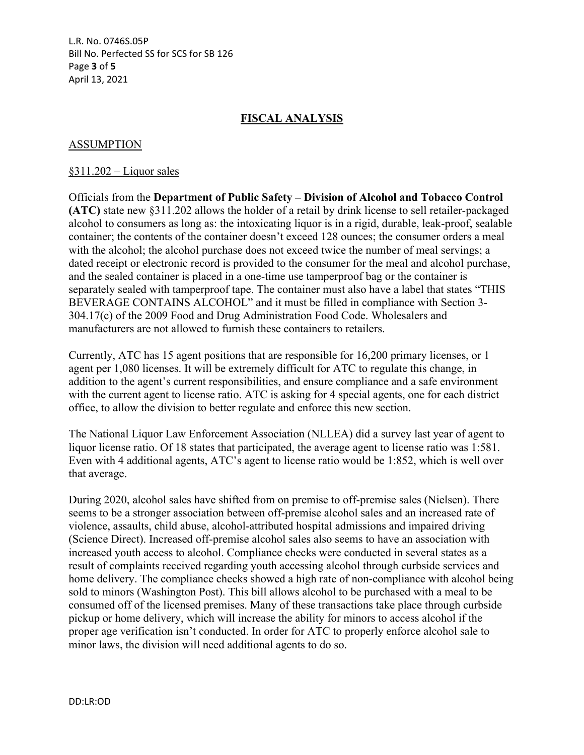L.R. No. 0746S.05P Bill No. Perfected SS for SCS for SB 126 Page **3** of **5** April 13, 2021

# **FISCAL ANALYSIS**

## ASSUMPTION

#### §311.202 – Liquor sales

Officials from the **Department of Public Safety – Division of Alcohol and Tobacco Control (ATC)** state new §311.202 allows the holder of a retail by drink license to sell retailer-packaged alcohol to consumers as long as: the intoxicating liquor is in a rigid, durable, leak-proof, sealable container; the contents of the container doesn't exceed 128 ounces; the consumer orders a meal with the alcohol; the alcohol purchase does not exceed twice the number of meal servings; a dated receipt or electronic record is provided to the consumer for the meal and alcohol purchase, and the sealed container is placed in a one-time use tamperproof bag or the container is separately sealed with tamperproof tape. The container must also have a label that states "THIS BEVERAGE CONTAINS ALCOHOL" and it must be filled in compliance with Section 3- 304.17(c) of the 2009 Food and Drug Administration Food Code. Wholesalers and manufacturers are not allowed to furnish these containers to retailers.

Currently, ATC has 15 agent positions that are responsible for 16,200 primary licenses, or 1 agent per 1,080 licenses. It will be extremely difficult for ATC to regulate this change, in addition to the agent's current responsibilities, and ensure compliance and a safe environment with the current agent to license ratio. ATC is asking for 4 special agents, one for each district office, to allow the division to better regulate and enforce this new section.

The National Liquor Law Enforcement Association (NLLEA) did a survey last year of agent to liquor license ratio. Of 18 states that participated, the average agent to license ratio was 1:581. Even with 4 additional agents, ATC's agent to license ratio would be 1:852, which is well over that average.

During 2020, alcohol sales have shifted from on premise to off-premise sales (Nielsen). There seems to be a stronger association between off-premise alcohol sales and an increased rate of violence, assaults, child abuse, alcohol-attributed hospital admissions and impaired driving (Science Direct). Increased off-premise alcohol sales also seems to have an association with increased youth access to alcohol. Compliance checks were conducted in several states as a result of complaints received regarding youth accessing alcohol through curbside services and home delivery. The compliance checks showed a high rate of non-compliance with alcohol being sold to minors (Washington Post). This bill allows alcohol to be purchased with a meal to be consumed off of the licensed premises. Many of these transactions take place through curbside pickup or home delivery, which will increase the ability for minors to access alcohol if the proper age verification isn't conducted. In order for ATC to properly enforce alcohol sale to minor laws, the division will need additional agents to do so.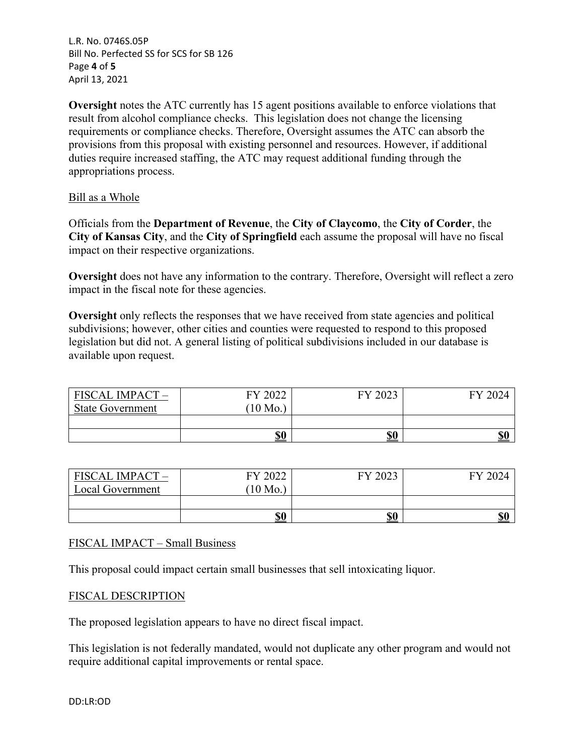L.R. No. 0746S.05P Bill No. Perfected SS for SCS for SB 126 Page **4** of **5** April 13, 2021

**Oversight** notes the ATC currently has 15 agent positions available to enforce violations that result from alcohol compliance checks. This legislation does not change the licensing requirements or compliance checks. Therefore, Oversight assumes the ATC can absorb the provisions from this proposal with existing personnel and resources. However, if additional duties require increased staffing, the ATC may request additional funding through the appropriations process.

## Bill as a Whole

Officials from the **Department of Revenue**, the **City of Claycomo**, the **City of Corder**, the **City of Kansas City**, and the **City of Springfield** each assume the proposal will have no fiscal impact on their respective organizations.

**Oversight** does not have any information to the contrary. Therefore, Oversight will reflect a zero impact in the fiscal note for these agencies.

**Oversight** only reflects the responses that we have received from state agencies and political subdivisions; however, other cities and counties were requested to respond to this proposed legislation but did not. A general listing of political subdivisions included in our database is available upon request.

| <b>FISCAL IMPACT -</b><br><b>State Government</b> | FY 2022<br>$10$ Mo. | FY 2023 | FY 2024 |
|---------------------------------------------------|---------------------|---------|---------|
|                                                   |                     |         |         |
|                                                   | \$0                 | \$0     | \$0     |

| <b>FISCAL IMPACT</b> | FY 2022  | FY 2023    | FY 2024 |
|----------------------|----------|------------|---------|
| Local Government     | $10$ Mo. |            |         |
|                      |          |            |         |
|                      | \$0      | <u>\$0</u> | \$0     |

## FISCAL IMPACT – Small Business

This proposal could impact certain small businesses that sell intoxicating liquor.

## FISCAL DESCRIPTION

The proposed legislation appears to have no direct fiscal impact.

This legislation is not federally mandated, would not duplicate any other program and would not require additional capital improvements or rental space.